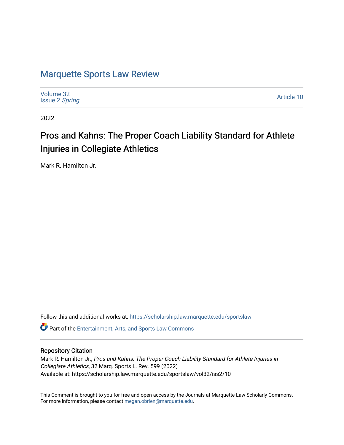# [Marquette Sports Law Review](https://scholarship.law.marquette.edu/sportslaw)

| Volume 32<br><b>Issue 2 Spring</b> | Article 10 |
|------------------------------------|------------|
|------------------------------------|------------|

2022

# Pros and Kahns: The Proper Coach Liability Standard for Athlete Injuries in Collegiate Athletics

Mark R. Hamilton Jr.

Follow this and additional works at: [https://scholarship.law.marquette.edu/sportslaw](https://scholarship.law.marquette.edu/sportslaw?utm_source=scholarship.law.marquette.edu%2Fsportslaw%2Fvol32%2Fiss2%2F10&utm_medium=PDF&utm_campaign=PDFCoverPages) 

Part of the [Entertainment, Arts, and Sports Law Commons](https://network.bepress.com/hgg/discipline/893?utm_source=scholarship.law.marquette.edu%2Fsportslaw%2Fvol32%2Fiss2%2F10&utm_medium=PDF&utm_campaign=PDFCoverPages)

# Repository Citation

Mark R. Hamilton Jr., Pros and Kahns: The Proper Coach Liability Standard for Athlete Injuries in Collegiate Athletics, 32 Marq. Sports L. Rev. 599 (2022) Available at: https://scholarship.law.marquette.edu/sportslaw/vol32/iss2/10

This Comment is brought to you for free and open access by the Journals at Marquette Law Scholarly Commons. For more information, please contact [megan.obrien@marquette.edu](mailto:megan.obrien@marquette.edu).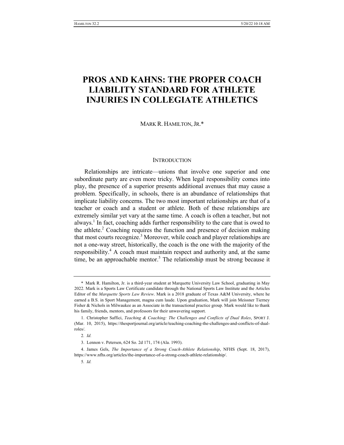# **PROS AND KAHNS: THE PROPER COACH LIABILITY STANDARD FOR ATHLETE INJURIES IN COLLEGIATE ATHLETICS**

MARK R. HAMILTON, JR.\*

#### **INTRODUCTION**

Relationships are intricate—unions that involve one superior and one subordinate party are even more tricky. When legal responsibility comes into play, the presence of a superior presents additional avenues that may cause a problem. Specifically, in schools, there is an abundance of relationships that implicate liability concerns. The two most important relationships are that of a teacher or coach and a student or athlete. Both of these relationships are extremely similar yet vary at the same time. A coach is often a teacher, but not always.<sup>1</sup> In fact, coaching adds further responsibility to the care that is owed to the athlete.<sup>2</sup> Coaching requires the function and presence of decision making that most courts recognize.<sup>3</sup> Moreover, while coach and player relationships are not a one-way street, historically, the coach is the one with the majority of the responsibility.<sup>4</sup> A coach must maintain respect and authority and, at the same time, be an approachable mentor.<sup>5</sup> The relationship must be strong because it

<sup>\*</sup> Mark R. Hamilton, Jr. is a third-year student at Marquette University Law School, graduating in May 2022. Mark is a Sports Law Certificate candidate through the National Sports Law Institute and the Articles Editor of the *Marquette Sports Law Review*. Mark is a 2018 graduate of Texas A&M University, where he earned a B.S. in Sport Management, magna cum laude. Upon graduation, Mark will join Meissner Tierney Fisher & Nichols in Milwaukee as an Associate in the transactional practice group. Mark would like to thank his family, friends, mentors, and professors for their unwavering support.

<sup>1.</sup> Christopher Saffici, *Teaching & Coaching: The Challenges and Conflicts of Dual Roles*, SPORT J. (Mar. 10, 2015), https://thesportjournal.org/article/teaching-coaching-the-challenges-and-conflicts-of-dualroles/.

<sup>2</sup>*. Id.*

<sup>3.</sup> Lennon v. Petersen, 624 So. 2d 171, 174 (Ala. 1993).

<sup>4.</sup> James Gels, *The Importance of a Strong Coach-Athlete Relationship*, NFHS (Sept. 18, 2017), https://www.nfhs.org/articles/the-importance-of-a-strong-coach-athlete-relationship/.

<sup>5</sup>*. Id.*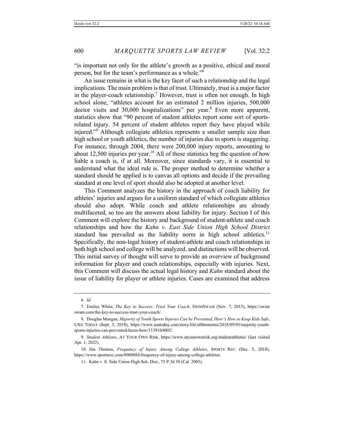"is important not only for the athlete's growth as a positive, ethical and moral person, but for the team's performance as a whole."6

An issue remains in what is the key facet of such a relationship and the legal implications. The main problem is that of trust. Ultimately, trust is a major factor in the player-coach relationship.<sup> $\prime$ </sup> However, trust is often not enough. In high school alone, "athletes account for an estimated 2 million injuries, 500,000 doctor visits and 30,000 hospitalizations" per year.<sup>8</sup> Even more apparent, statistics show that "90 percent of student athletes report some sort of sportsrelated injury. 54 percent of student athletes report they have played while injured."<sup>9</sup> Although collegiate athletics represents a smaller sample size than high school or youth athletics, the number of injuries due to sports is staggering. For instance, through 2004, there were 200,000 injury reports, amounting to about 12,500 injuries per year.<sup>10</sup> All of these statistics beg the question of how liable a coach is, if at all. Moreover, since standards vary, it is essential to understand what the ideal rule is. The proper method to determine whether a standard should be applied is to canvas all options and decide if the prevailing standard at one level of sport should also be adopted at another level.

This Comment analyzes the history in the approach of coach liability for athletes' injuries and argues for a uniform standard of which collegiate athletics should also adopt. While coach and athlete relationships are already multifaceted, so too are the answers about liability for injury. Section I of this Comment will explore the history and background of student-athlete and coach relationships and how the *Kahn v. East Side Union High School District* standard has prevailed as the liability norm in high school athletics.<sup>11</sup> Specifically, the non-legal history of student-athlete and coach relationships in both high school and college will be analyzed, and distinctions will be observed. This initial survey of thought will serve to provide an overview of background information for player and coach relationships, especially with injuries. Next, this Comment will discuss the actual legal history and *Kahn* standard about the issue of liability for player or athlete injuries. Cases are examined that address

<sup>6</sup>*. Id.*

<sup>7.</sup> Emilee White, *The Key to Success: Trust Your Coach*, SWIMSWAM (Nov. 7, 2015), https://swim swam.com/the-key-to-success-trust-your-coach/.

<sup>8.</sup> Douglas Mangan, *Majority of Youth Sports Injuries Can be Prevented, Here's How to Keep Kids Safe*, USA TODAY (Sept. 5, 2018), https://www.usatoday.com/story/life/allthemoms/2018/09/05/majority-youthsports-injuries-can-prevented-heres-how/1139104002/.

<sup>9</sup>*. Student Athletes*, AT YOUR OWN RISK, https://www.atyourownrisk.org/studentathletes/ (last visited Apr. 1, 2022).

<sup>10.</sup> Jim Thomas, *Frequency of Injury Among College Athletes*, SPORTS REC. (Dec. 5, 2018), https://www.sportsrec.com/8080884/frequency-of-injury-among-college-athletes.

<sup>11.</sup> Kahn v. E. Side Union High Sch. Dist., 75 P.3d 30 (Cal. 2003).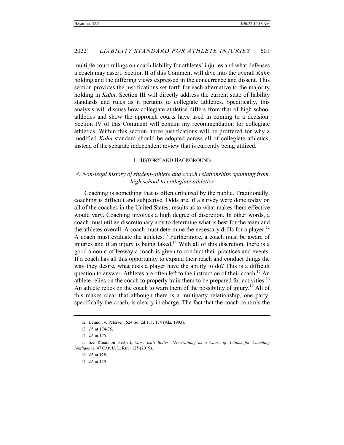multiple court rulings on coach liability for athletes' injuries and what defenses a coach may assert. Section II of this Comment will dive into the overall *Kahn* holding and the differing views expressed in the concurrence and dissent. This section provides the justifications set forth for each alternative to the majority holding in *Kahn*. Section III will directly address the current state of liability standards and rules as it pertains to collegiate athletics. Specifically, this analysis will discuss how collegiate athletics differs from that of high school athletics and show the approach courts have used in coming to a decision. Section IV of this Comment will contain my recommendation for collegiate athletics. Within this section, three justifications will be proffered for why a modified *Kahn* standard should be adopted across all of collegiate athletics, instead of the separate independent review that is currently being utilized.

#### I. HISTORY AND BACKGROUND

## *A. Non-legal history of student-athlete and coach relationships spanning from high school to collegiate athletics*

Coaching is something that is often criticized by the public. Traditionally, coaching is difficult and subjective. Odds are, if a survey were done today on all of the coaches in the United States, results as to what makes them effective would vary. Coaching involves a high degree of discretion. In other words, a coach must utilize discretionary acts to determine what is best for the team and the athletes overall. A coach must determine the necessary drills for a player.<sup>12</sup> A coach must evaluate the athletes.<sup>13</sup> Furthermore, a coach must be aware of injuries and if an injury is being faked.<sup>14</sup> With all of this discretion, there is a good amount of leeway a coach is given to conduct their practices and events. If a coach has all this opportunity to expand their reach and conduct things the way they desire, what does a player have the ability to do? This is a difficult question to answer. Athletes are often left to the instruction of their coach.<sup>15</sup> An athlete relies on the coach to properly train them to be prepared for activities.<sup>16</sup> An athlete relies on the coach to warn them of the possibility of injury.<sup>17</sup> All of this makes clear that although there is a multiparty relationship, one party, specifically the coach, is clearly in charge. The fact that the coach controls the

<sup>12.</sup> Lennon v. Petersen, 624 So. 2d 171, 174 (Ala. 1993).

<sup>13</sup>*. Id.* at 174-75.

<sup>14</sup>*. Id.* at 175.

<sup>15</sup>*. See* Rhiannon Herbert, *More Isn't Better: Overtraining as a Cause of Actions for Coaching Negligence*, 47 CAP. U. L. REV. 125 (2019).

<sup>16</sup>*. Id.* at 128.

<sup>17</sup>*. Id.* at 129.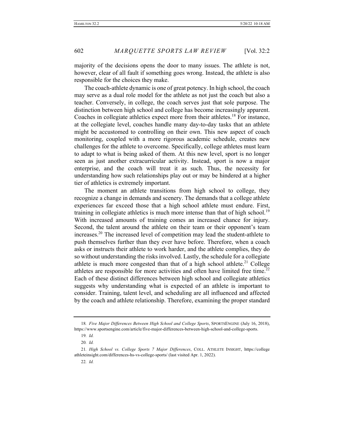majority of the decisions opens the door to many issues. The athlete is not, however, clear of all fault if something goes wrong. Instead, the athlete is also responsible for the choices they make.

The coach-athlete dynamic is one of great potency. In high school, the coach may serve as a dual role model for the athlete as not just the coach but also a teacher. Conversely, in college, the coach serves just that sole purpose. The distinction between high school and college has become increasingly apparent. Coaches in collegiate athletics expect more from their athletes.<sup>18</sup> For instance, at the collegiate level, coaches handle many day-to-day tasks that an athlete might be accustomed to controlling on their own. This new aspect of coach monitoring, coupled with a more rigorous academic schedule, creates new challenges for the athlete to overcome. Specifically, college athletes must learn to adapt to what is being asked of them. At this new level, sport is no longer seen as just another extracurricular activity. Instead, sport is now a major enterprise, and the coach will treat it as such. Thus, the necessity for understanding how such relationships play out or may be hindered at a higher tier of athletics is extremely important.

The moment an athlete transitions from high school to college, they recognize a change in demands and scenery. The demands that a college athlete experiences far exceed those that a high school athlete must endure. First, training in collegiate athletics is much more intense than that of high school.<sup>19</sup> With increased amounts of training comes an increased chance for injury. Second, the talent around the athlete on their team or their opponent's team increases.<sup>20</sup> The increased level of competition may lead the student-athlete to push themselves further than they ever have before. Therefore, when a coach asks or instructs their athlete to work harder, and the athlete complies, they do so without understanding the risks involved. Lastly, the schedule for a collegiate athlete is much more congested than that of a high school athlete.<sup>21</sup> College athletes are responsible for more activities and often have limited free time.<sup>22</sup> Each of these distinct differences between high school and collegiate athletics suggests why understanding what is expected of an athlete is important to consider. Training, talent level, and scheduling are all influenced and affected by the coach and athlete relationship. Therefore, examining the proper standard

<sup>18</sup>*. Five Major Differences Between High School and College Sports*, SPORTSENGINE (July 16, 2018), https://www.sportsengine.com/article/five-major-differences-between-high-school-and-college-sports.

<sup>19</sup>*. Id.*

<sup>20</sup>*. Id.*

<sup>21</sup>*. High School vs. College Sports 7 Major Differences*, COLL. ATHLETE INSIGHT, https://college athleteinsight.com/differences-hs-vs-college-sports/ (last visited Apr. 1, 2022).

<sup>22</sup>*. Id.*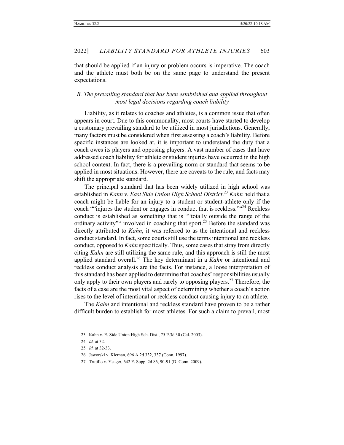that should be applied if an injury or problem occurs is imperative. The coach and the athlete must both be on the same page to understand the present expectations.

# *B. The prevailing standard that has been established and applied throughout most legal decisions regarding coach liability*

Liability, as it relates to coaches and athletes, is a common issue that often appears in court. Due to this commonality, most courts have started to develop a customary prevailing standard to be utilized in most jurisdictions. Generally, many factors must be considered when first assessing a coach's liability. Before specific instances are looked at, it is important to understand the duty that a coach owes its players and opposing players. A vast number of cases that have addressed coach liability for athlete or student injuries have occurred in the high school context. In fact, there is a prevailing norm or standard that seems to be applied in most situations. However, there are caveats to the rule, and facts may shift the appropriate standard.

The principal standard that has been widely utilized in high school was established in *Kahn v. East Side Union High School District*. <sup>23</sup> *Kahn* held that a coach might be liable for an injury to a student or student-athlete only if the coach ""injures the student or engages in conduct that is reckless." <sup>424</sup> Reckless conduct is established as something that is ""totally outside the range of the ordinary activity" involved in coaching that sport.<sup>25</sup> Before the standard was directly attributed to *Kahn*, it was referred to as the intentional and reckless conduct standard. In fact, some courts still use the terms intentional and reckless conduct, opposed to *Kahn* specifically. Thus, some cases that stray from directly citing *Kahn* are still utilizing the same rule, and this approach is still the most applied standard overall.26 The key determinant in a *Kahn* or intentional and reckless conduct analysis are the facts. For instance, a loose interpretation of this standard has been applied to determine that coaches' responsibilities usually only apply to their own players and rarely to opposing players.<sup>27</sup> Therefore, the facts of a case are the most vital aspect of determining whether a coach's action rises to the level of intentional or reckless conduct causing injury to an athlete.

The *Kahn* and intentional and reckless standard have proven to be a rather difficult burden to establish for most athletes. For such a claim to prevail, most

<sup>23.</sup> Kahn v. E. Side Union High Sch. Dist., 75 P.3d 30 (Cal. 2003).

<sup>24</sup>*. Id.* at 32.

<sup>25</sup>*. Id.* at 32-33.

<sup>26.</sup> Jaworski v. Kiernan, 696 A.2d 332, 337 (Conn. 1997).

<sup>27.</sup> Trujillo v. Yeager, 642 F. Supp. 2d 86, 90-91 (D. Conn. 2009).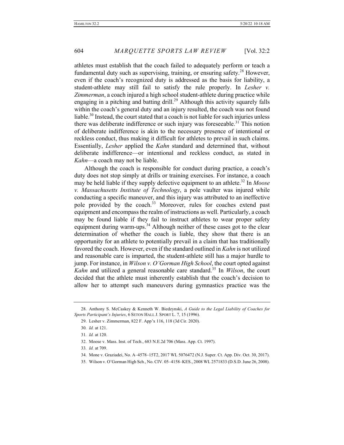athletes must establish that the coach failed to adequately perform or teach a fundamental duty such as supervising, training, or ensuring safety.<sup>28</sup> However, even if the coach's recognized duty is addressed as the basis for liability, a student-athlete may still fail to satisfy the rule properly. In *Lesher v. Zimmerman*, a coach injured a high school student-athlete during practice while engaging in a pitching and batting drill.<sup>29</sup> Although this activity squarely falls within the coach's general duty and an injury resulted, the coach was not found liable.30 Instead, the court stated that a coach is not liable for such injuries unless there was deliberate indifference or such injury was foreseeable.<sup>31</sup> This notion of deliberate indifference is akin to the necessary presence of intentional or reckless conduct, thus making it difficult for athletes to prevail in such claims. Essentially, *Lesher* applied the *Kahn* standard and determined that, without deliberate indifference—or intentional and reckless conduct, as stated in *Kahn*—a coach may not be liable.

Although the coach is responsible for conduct during practice, a coach's duty does not stop simply at drills or training exercises. For instance, a coach may be held liable if they supply defective equipment to an athlete.<sup>32</sup> In *Moose v. Massachusetts Institute of Technology*, a pole vaulter was injured while conducting a specific maneuver, and this injury was attributed to an ineffective pole provided by the coach.<sup>33</sup> Moreover, rules for coaches extend past equipment and encompass the realm of instructions as well. Particularly, a coach may be found liable if they fail to instruct athletes to wear proper safety equipment during warm-ups.<sup>34</sup> Although neither of these cases got to the clear determination of whether the coach is liable, they show that there is an opportunity for an athlete to potentially prevail in a claim that has traditionally favored the coach. However, even if the standard outlined in *Kahn* is not utilized and reasonable care is imparted, the student-athlete still has a major hurdle to jump. For instance, in *Wilson v. O'Gorman High School*, the court opted against *Kahn* and utilized a general reasonable care standard.<sup>35</sup> In *Wilson*, the court decided that the athlete must inherently establish that the coach's decision to allow her to attempt such maneuvers during gymnastics practice was the

<sup>28.</sup> Anthony S. McCaskey & Kenneth W. Biedzynski, *A Guide to the Legal Liability of Coaches for Sports Participant's Injuries*, 6 SETON HALL J. SPORT L. 7, 15 (1996).

<sup>29.</sup> Lesher v. Zimmerman, 822 F. App'x 116, 118 (3d Cir. 2020).

<sup>30</sup>*. Id.* at 121.

<sup>31</sup>*. Id.* at 120.

<sup>32.</sup> Moose v. Mass. Inst. of Tech., 683 N.E.2d 706 (Mass. App. Ct. 1997).

<sup>33</sup>*. Id.* at 709.

<sup>34.</sup> Mone v. Graziadei, No. A–4578–15T2, 2017 WL 5076472 (N.J. Super. Ct. App. Div. Oct. 30, 2017).

<sup>35.</sup> Wilson v. O'Gorman High Sch., No. CIV. 05–4158–KES., 2008 WL 2571833 (D.S.D. June 26, 2008).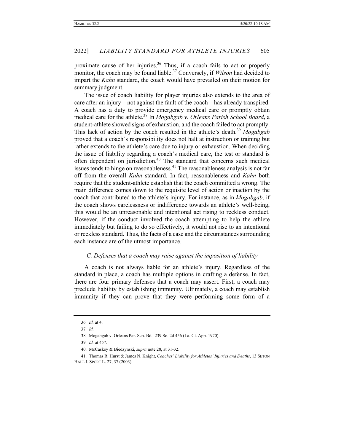proximate cause of her injuries.<sup>36</sup> Thus, if a coach fails to act or properly monitor, the coach may be found liable.<sup>37</sup> Conversely, if *Wilson* had decided to impart the *Kahn* standard, the coach would have prevailed on their motion for summary judgment.

The issue of coach liability for player injuries also extends to the area of care after an injury—not against the fault of the coach—has already transpired. A coach has a duty to provide emergency medical care or promptly obtain medical care for the athlete.<sup>38</sup> In *Mogabgab v. Orleans Parish School Board*, a student-athlete showed signs of exhaustion, and the coach failed to act promptly. This lack of action by the coach resulted in the athlete's death.<sup>39</sup> *Mogabgab* proved that a coach's responsibility does not halt at instruction or training but rather extends to the athlete's care due to injury or exhaustion. When deciding the issue of liability regarding a coach's medical care, the test or standard is often dependent on jurisdiction.<sup>40</sup> The standard that concerns such medical issues tends to hinge on reasonableness.<sup>41</sup> The reasonableness analysis is not far off from the overall *Kahn* standard. In fact, reasonableness and *Kahn* both require that the student-athlete establish that the coach committed a wrong. The main difference comes down to the requisite level of action or inaction by the coach that contributed to the athlete's injury. For instance, as in *Mogabgab*, if the coach shows carelessness or indifference towards an athlete's well-being, this would be an unreasonable and intentional act rising to reckless conduct. However, if the conduct involved the coach attempting to help the athlete immediately but failing to do so effectively, it would not rise to an intentional or reckless standard. Thus, the facts of a case and the circumstances surrounding each instance are of the utmost importance.

#### *C. Defenses that a coach may raise against the imposition of liability*

A coach is not always liable for an athlete's injury. Regardless of the standard in place, a coach has multiple options in crafting a defense. In fact, there are four primary defenses that a coach may assert. First, a coach may preclude liability by establishing immunity. Ultimately, a coach may establish immunity if they can prove that they were performing some form of a

<sup>36</sup>*. Id.* at 4.

<sup>37</sup>*. Id.*

<sup>38.</sup> Mogabgab v. Orleans Par. Sch. Bd., 239 So. 2d 456 (La. Ct. App. 1970).

<sup>39</sup>*. Id.* at 457.

<sup>40.</sup> McCaskey & Biedzynski, *supra* note 28, at 31-32.

<sup>41.</sup> Thomas R. Hurst & James N. Knight, *Coaches' Liability for Athletes' Injuries and Deaths*, 13 SETON HALL J. SPORT L. 27, 37 (2003).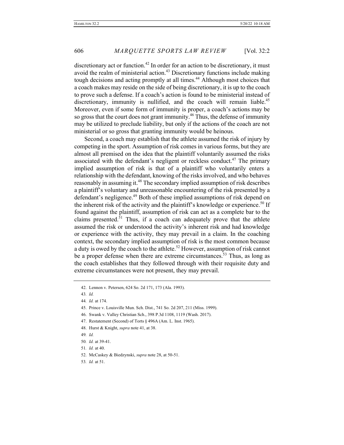discretionary act or function.<sup>42</sup> In order for an action to be discretionary, it must avoid the realm of ministerial action.<sup>43</sup> Discretionary functions include making tough decisions and acting promptly at all times.<sup>44</sup> Although most choices that a coach makes may reside on the side of being discretionary, it is up to the coach to prove such a defense. If a coach's action is found to be ministerial instead of discretionary, immunity is nullified, and the coach will remain liable.<sup>45</sup> Moreover, even if some form of immunity is proper, a coach's actions may be so gross that the court does not grant immunity.<sup>46</sup> Thus, the defense of immunity may be utilized to preclude liability, but only if the actions of the coach are not ministerial or so gross that granting immunity would be heinous.

Second, a coach may establish that the athlete assumed the risk of injury by competing in the sport. Assumption of risk comes in various forms, but they are almost all premised on the idea that the plaintiff voluntarily assumed the risks associated with the defendant's negligent or reckless conduct.<sup>47</sup> The primary implied assumption of risk is that of a plaintiff who voluntarily enters a relationship with the defendant, knowing of the risks involved, and who behaves reasonably in assuming it.<sup>48</sup> The secondary implied assumption of risk describes a plaintiff's voluntary and unreasonable encountering of the risk presented by a defendant's negligence.<sup>49</sup> Both of these implied assumptions of risk depend on the inherent risk of the activity and the plaintiff's knowledge or experience.<sup>50</sup> If found against the plaintiff, assumption of risk can act as a complete bar to the claims presented.<sup>51</sup> Thus, if a coach can adequately prove that the athlete assumed the risk or understood the activity's inherent risk and had knowledge or experience with the activity, they may prevail in a claim. In the coaching context, the secondary implied assumption of risk is the most common because a duty is owed by the coach to the athlete.<sup>52</sup> However, assumption of risk cannot be a proper defense when there are extreme circumstances.<sup>53</sup> Thus, as long as the coach establishes that they followed through with their requisite duty and extreme circumstances were not present, they may prevail.

49*. Id.*

<sup>42.</sup> Lennon v. Petersen, 624 So. 2d 171, 173 (Ala. 1993).

<sup>43</sup>*. Id.*

<sup>44</sup>*. Id.* at 174.

<sup>45.</sup> Prince v. Louisville Mun. Sch. Dist., 741 So. 2d 207, 211 (Miss. 1999).

<sup>46.</sup> Swank v. Valley Christian Sch., 398 P.3d 1108, 1119 (Wash. 2017).

<sup>47.</sup> Restatement (Second) of Torts § 496A (Am. L. Inst. 1965).

<sup>48.</sup> Hurst & Knight, *supra* note 41, at 38.

<sup>50</sup>*. Id.* at 39-41.

<sup>51</sup>*. Id.* at 40.

<sup>52.</sup> McCaskey & Biedzynski, *supra* note 28, at 50-51.

<sup>53</sup>*. Id.* at 51.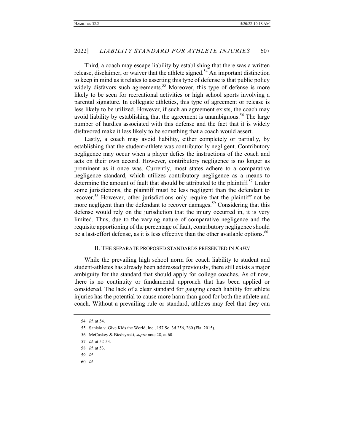Third, a coach may escape liability by establishing that there was a written release, disclaimer, or waiver that the athlete signed.<sup>54</sup> An important distinction to keep in mind as it relates to asserting this type of defense is that public policy widely disfavors such agreements.<sup>55</sup> Moreover, this type of defense is more likely to be seen for recreational activities or high school sports involving a parental signature. In collegiate athletics, this type of agreement or release is less likely to be utilized. However, if such an agreement exists, the coach may avoid liability by establishing that the agreement is unambiguous.<sup>56</sup> The large number of hurdles associated with this defense and the fact that it is widely disfavored make it less likely to be something that a coach would assert.

Lastly, a coach may avoid liability, either completely or partially, by establishing that the student-athlete was contributorily negligent. Contributory negligence may occur when a player defies the instructions of the coach and acts on their own accord. However, contributory negligence is no longer as prominent as it once was. Currently, most states adhere to a comparative negligence standard, which utilizes contributory negligence as a means to determine the amount of fault that should be attributed to the plaintiff.<sup>57</sup> Under some jurisdictions, the plaintiff must be less negligent than the defendant to recover.<sup>58</sup> However, other jurisdictions only require that the plaintiff not be more negligent than the defendant to recover damages.<sup>59</sup> Considering that this defense would rely on the jurisdiction that the injury occurred in, it is very limited. Thus, due to the varying nature of comparative negligence and the requisite apportioning of the percentage of fault, contributory negligence should be a last-effort defense, as it is less effective than the other available options.<sup>60</sup>

#### II. THE SEPARATE PROPOSED STANDARDS PRESENTED IN *KAHN*

While the prevailing high school norm for coach liability to student and student-athletes has already been addressed previously, there still exists a major ambiguity for the standard that should apply for college coaches. As of now, there is no continuity or fundamental approach that has been applied or considered. The lack of a clear standard for gauging coach liability for athlete injuries has the potential to cause more harm than good for both the athlete and coach. Without a prevailing rule or standard, athletes may feel that they can

<sup>54</sup>*. Id.* at 54.

<sup>55.</sup> Sanislo v. Give Kids the World, Inc., 157 So. 3d 256, 260 (Fla. 2015).

<sup>56.</sup> McCaskey & Biedzynski, *supra* note 28, at 60.

<sup>57</sup>*. Id.* at 52-53.

<sup>58</sup>*. Id.* at 53.

<sup>59</sup>*. Id.*

<sup>60</sup>*. Id.*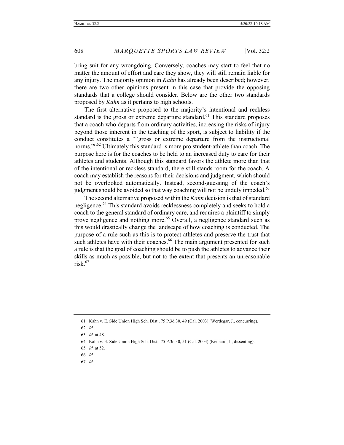bring suit for any wrongdoing. Conversely, coaches may start to feel that no matter the amount of effort and care they show, they will still remain liable for any injury. The majority opinion in *Kahn* has already been described; however, there are two other opinions present in this case that provide the opposing standards that a college should consider. Below are the other two standards proposed by *Kahn* as it pertains to high schools.

The first alternative proposed to the majority's intentional and reckless standard is the gross or extreme departure standard.<sup>61</sup> This standard proposes that a coach who departs from ordinary activities, increasing the risks of injury beyond those inherent in the teaching of the sport, is subject to liability if the conduct constitutes a ""gross or extreme departure from the instructional norms."<sup>62</sup> Ultimately this standard is more pro student-athlete than coach. The purpose here is for the coaches to be held to an increased duty to care for their athletes and students. Although this standard favors the athlete more than that of the intentional or reckless standard, there still stands room for the coach. A coach may establish the reasons for their decisions and judgment, which should not be overlooked automatically. Instead, second-guessing of the coach's judgment should be avoided so that way coaching will not be unduly impeded.<sup>63</sup>

The second alternative proposed within the *Kahn* decision is that of standard negligence.<sup>64</sup> This standard avoids recklessness completely and seeks to hold a coach to the general standard of ordinary care, and requires a plaintiff to simply prove negligence and nothing more.<sup>65</sup> Overall, a negligence standard such as this would drastically change the landscape of how coaching is conducted. The purpose of a rule such as this is to protect athletes and preserve the trust that such athletes have with their coaches.<sup>66</sup> The main argument presented for such a rule is that the goal of coaching should be to push the athletes to advance their skills as much as possible, but not to the extent that presents an unreasonable  $risk<sup>67</sup>$ 

<sup>61.</sup> Kahn v. E. Side Union High Sch. Dist., 75 P.3d 30, 49 (Cal. 2003) (Werdegar, J., concurring).

<sup>62</sup>*. Id.*

<sup>63</sup>*. Id.* at 48.

<sup>64.</sup> Kahn v. E. Side Union High Sch. Dist., 75 P.3d 30, 51 (Cal. 2003) (Kennard, J., dissenting).

<sup>65</sup>*. Id.* at 52.

<sup>66</sup>*. Id.*

<sup>67</sup>*. Id.*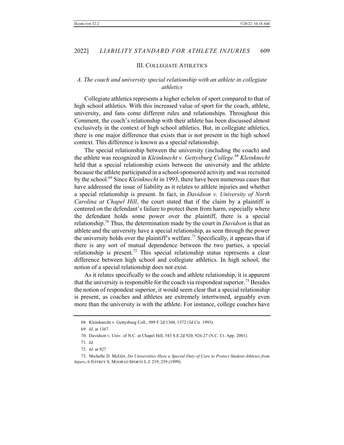#### III. COLLEGIATE ATHLETICS

## *A. The coach and university special relationship with an athlete in collegiate athletics*

Collegiate athletics represents a higher echelon of sport compared to that of high school athletics. With this increased value of sport for the coach, athlete, university, and fans come different rules and relationships. Throughout this Comment, the coach's relationship with their athlete has been discussed almost exclusively in the context of high school athletics. But, in collegiate athletics, there is one major difference that exists that is not present in the high school context. This difference is known as a special relationship.

The special relationship between the university (including the coach) and the athlete was recognized in *Kleinknecht v. Gettysburg College*. <sup>68</sup> *Kleinknecht* held that a special relationship exists between the university and the athlete because the athlete participated in a school-sponsored activity and was recruited by the school.69 Since *Kleinknecht* in 1993, there have been numerous cases that have addressed the issue of liability as it relates to athlete injuries and whether a special relationship is present. In fact, in *Davidson v. University of North Carolina at Chapel Hill*, the court stated that if the claim by a plaintiff is centered on the defendant's failure to protect them from harm, especially where the defendant holds some power over the plaintiff, there is a special relationship.<sup>70</sup> Thus, the determination made by the court in *Davidson* is that an athlete and the university have a special relationship, as seen through the power the university holds over the plaintiff's welfare.<sup>71</sup> Specifically, it appears that if there is any sort of mutual dependence between the two parties, a special relationship is present.<sup>72</sup> This special relationship status represents a clear difference between high school and collegiate athletics. In high school, the notion of a special relationship does not exist.

As it relates specifically to the coach and athlete relationship, it is apparent that the university is responsible for the coach via respondeat superior.<sup>73</sup> Besides the notion of respondeat superior, it would seem clear that a special relationship is present, as coaches and athletes are extremely intertwined, arguably even more than the university is with the athlete. For instance, college coaches have

<sup>68.</sup> Kleinknecht v. Gettysburg Coll., 989 F.2d 1360, 1372 (3d Cir. 1993).

<sup>69</sup>*. Id.* at 1367.

<sup>70.</sup> Davidson v. Univ. of N.C. at Chapel Hill, 543 S.E.2d 920, 926-27 (N.C. Ct. App. 2001).

<sup>71</sup>*. Id.*

<sup>72</sup>*. Id.* at 927.

<sup>73.</sup> Michelle D. McGirt, *Do Universities Have a Special Duty of Care to Protect Student-Athletes from Injury*, 6 JEFFREY S. MOORAD SPORTS L.J. 219, 239 (1999).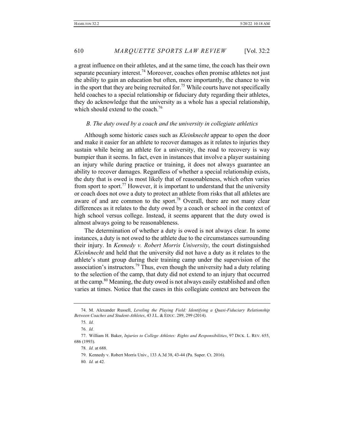a great influence on their athletes, and at the same time, the coach has their own separate pecuniary interest.<sup>74</sup> Moreover, coaches often promise athletes not just the ability to gain an education but often, more importantly, the chance to win in the sport that they are being recruited for.<sup>75</sup> While courts have not specifically held coaches to a special relationship or fiduciary duty regarding their athletes, they do acknowledge that the university as a whole has a special relationship, which should extend to the coach.<sup>76</sup>

#### *B. The duty owed by a coach and the university in collegiate athletics*

Although some historic cases such as *Kleinknecht* appear to open the door and make it easier for an athlete to recover damages as it relates to injuries they sustain while being an athlete for a university, the road to recovery is way bumpier than it seems. In fact, even in instances that involve a player sustaining an injury while during practice or training, it does not always guarantee an ability to recover damages. Regardless of whether a special relationship exists, the duty that is owed is most likely that of reasonableness, which often varies from sport to sport.<sup>77</sup> However, it is important to understand that the university or coach does not owe a duty to protect an athlete from risks that all athletes are aware of and are common to the sport.<sup>78</sup> Overall, there are not many clear differences as it relates to the duty owed by a coach or school in the context of high school versus college. Instead, it seems apparent that the duty owed is almost always going to be reasonableness.

The determination of whether a duty is owed is not always clear. In some instances, a duty is not owed to the athlete due to the circumstances surrounding their injury. In *Kennedy v. Robert Morris University*, the court distinguished *Kleinknecht* and held that the university did not have a duty as it relates to the athlete's stunt group during their training camp under the supervision of the association's instructors.<sup>79</sup> Thus, even though the university had a duty relating to the selection of the camp, that duty did not extend to an injury that occurred at the camp.<sup>80</sup> Meaning, the duty owed is not always easily established and often varies at times. Notice that the cases in this collegiate context are between the

<sup>74.</sup> M. Alexander Russell, *Leveling the Playing Field: Identifying a Quasi-Fiduciary Relationship Between Coaches and Student-Athletes*, 43 J.L. & EDUC. 289, 299 (2014).

<sup>75</sup>*. Id.*

<sup>76</sup>*. Id.*

<sup>77.</sup> William H. Baker, *Injuries to College Athletes: Rights and Responsibilities*, 97 DICK. L. REV. 655, 686 (1993).

<sup>78</sup>*. Id.* at 688.

<sup>79.</sup> Kennedy v. Robert Morris Univ., 133 A.3d 38, 43-44 (Pa. Super. Ct. 2016).

<sup>80</sup>*. Id.* at 42.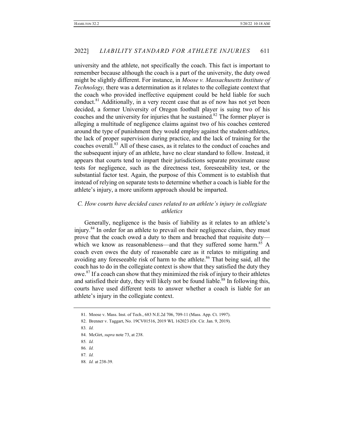university and the athlete, not specifically the coach. This fact is important to remember because although the coach is a part of the university, the duty owed might be slightly different. For instance, in *Moose v. Massachusetts Institute of Technology,* there was a determination as it relates to the collegiate context that the coach who provided ineffective equipment could be held liable for such conduct.<sup>81</sup> Additionally, in a very recent case that as of now has not yet been decided, a former University of Oregon football player is suing two of his coaches and the university for injuries that he sustained.<sup>82</sup> The former player is alleging a multitude of negligence claims against two of his coaches centered around the type of punishment they would employ against the student-athletes, the lack of proper supervision during practice, and the lack of training for the coaches overall.<sup>83</sup> All of these cases, as it relates to the conduct of coaches and the subsequent injury of an athlete, have no clear standard to follow. Instead, it appears that courts tend to impart their jurisdictions separate proximate cause tests for negligence, such as the directness test, foreseeability test, or the substantial factor test. Again, the purpose of this Comment is to establish that instead of relying on separate tests to determine whether a coach is liable for the athlete's injury, a more uniform approach should be imparted.

# *C. How courts have decided cases related to an athlete's injury in collegiate athletics*

Generally, negligence is the basis of liability as it relates to an athlete's injury.<sup>84</sup> In order for an athlete to prevail on their negligence claim, they must prove that the coach owed a duty to them and breached that requisite duty which we know as reasonableness—and that they suffered some harm.<sup>85</sup> A coach even owes the duty of reasonable care as it relates to mitigating and avoiding any foreseeable risk of harm to the athlete.<sup>86</sup> That being said, all the coach has to do in the collegiate context is show that they satisfied the duty they owe.<sup>87</sup> If a coach can show that they minimized the risk of injury to their athletes and satisfied their duty, they will likely not be found liable.<sup>88</sup> In following this, courts have used different tests to answer whether a coach is liable for an athlete's injury in the collegiate context.

84. McGirt, *supra* note 73, at 238.

<sup>81.</sup> Moose v. Mass. Inst. of Tech., 683 N.E.2d 706, 709-11 (Mass. App. Ct. 1997).

<sup>82.</sup> Brenner v. Taggart, No. 19CV01516, 2019 WL 162023 (Or. Cir. Jan. 9, 2019).

<sup>83</sup>*. Id.*

<sup>85</sup>*. Id.*

<sup>86</sup>*. Id.*

<sup>87</sup>*. Id.*

<sup>88</sup>*. Id.* at 238-39.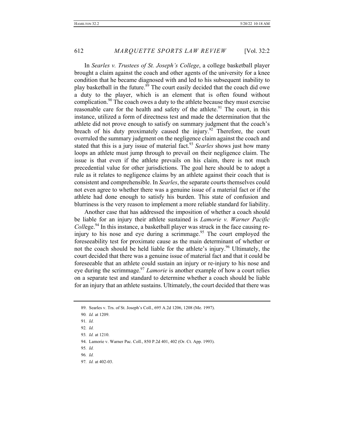In *Searles v. Trustees of St. Joseph's College*, a college basketball player brought a claim against the coach and other agents of the university for a knee condition that he became diagnosed with and led to his subsequent inability to play basketball in the future.<sup>89</sup> The court easily decided that the coach did owe a duty to the player, which is an element that is often found without complication.<sup>90</sup> The coach owes a duty to the athlete because they must exercise reasonable care for the health and safety of the athlete.<sup>91</sup> The court, in this instance, utilized a form of directness test and made the determination that the athlete did not prove enough to satisfy on summary judgment that the coach's breach of his duty proximately caused the injury.<sup>92</sup> Therefore, the court overruled the summary judgment on the negligence claim against the coach and stated that this is a jury issue of material fact.<sup>93</sup> *Searles* shows just how many loops an athlete must jump through to prevail on their negligence claim. The issue is that even if the athlete prevails on his claim, there is not much precedential value for other jurisdictions. The goal here should be to adopt a rule as it relates to negligence claims by an athlete against their coach that is consistent and comprehensible. In *Searles*, the separate courts themselves could not even agree to whether there was a genuine issue of a material fact or if the athlete had done enough to satisfy his burden. This state of confusion and blurriness is the very reason to implement a more reliable standard for liability.

Another case that has addressed the imposition of whether a coach should be liable for an injury their athlete sustained is *Lamorie v. Warner Pacific Coll*ege. <sup>94</sup> In this instance, a basketball player was struck in the face causing reinjury to his nose and eye during a scrimmage.<sup>95</sup> The court employed the foreseeability test for proximate cause as the main determinant of whether or not the coach should be held liable for the athlete's injury.<sup>96</sup> Ultimately, the court decided that there was a genuine issue of material fact and that it could be foreseeable that an athlete could sustain an injury or re-injury to his nose and eye during the scrimmage.<sup>97</sup> *Lamorie* is another example of how a court relies on a separate test and standard to determine whether a coach should be liable for an injury that an athlete sustains. Ultimately, the court decided that there was

- 94. Lamorie v. Warner Pac. Coll., 850 P.2d 401, 402 (Or. Ct. App. 1993).
- 95*. Id.*

<sup>89.</sup> Searles v. Trs. of St. Joseph's Coll., 695 A.2d 1206, 1208 (Me. 1997).

<sup>90</sup>*. Id.* at 1209.

<sup>91</sup>*. Id.*

<sup>92</sup>*. Id.*

<sup>93</sup>*. Id.* at 1210.

<sup>96</sup>*. Id.*

<sup>97</sup>*. Id.* at 402-03.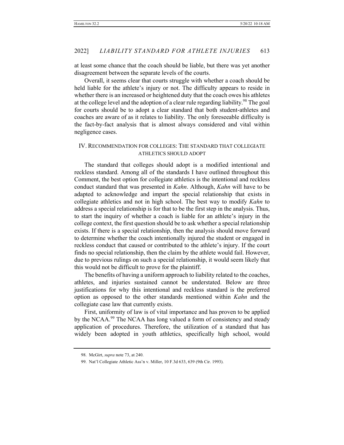at least some chance that the coach should be liable, but there was yet another disagreement between the separate levels of the courts.

Overall, it seems clear that courts struggle with whether a coach should be held liable for the athlete's injury or not. The difficulty appears to reside in whether there is an increased or heightened duty that the coach owes his athletes at the college level and the adoption of a clear rule regarding liability.<sup>98</sup> The goal for courts should be to adopt a clear standard that both student-athletes and coaches are aware of as it relates to liability. The only foreseeable difficulty is the fact-by-fact analysis that is almost always considered and vital within negligence cases.

## IV. RECOMMENDATION FOR COLLEGES: THE STANDARD THAT COLLEGIATE ATHLETICS SHOULD ADOPT

The standard that colleges should adopt is a modified intentional and reckless standard. Among all of the standards I have outlined throughout this Comment, the best option for collegiate athletics is the intentional and reckless conduct standard that was presented in *Kahn*. Although, *Kahn* will have to be adapted to acknowledge and impart the special relationship that exists in collegiate athletics and not in high school. The best way to modify *Kahn* to address a special relationship is for that to be the first step in the analysis. Thus, to start the inquiry of whether a coach is liable for an athlete's injury in the college context, the first question should be to ask whether a special relationship exists. If there is a special relationship, then the analysis should move forward to determine whether the coach intentionally injured the student or engaged in reckless conduct that caused or contributed to the athlete's injury. If the court finds no special relationship, then the claim by the athlete would fail. However, due to previous rulings on such a special relationship, it would seem likely that this would not be difficult to prove for the plaintiff.

The benefits of having a uniform approach to liability related to the coaches, athletes, and injuries sustained cannot be understated. Below are three justifications for why this intentional and reckless standard is the preferred option as opposed to the other standards mentioned within *Kahn* and the collegiate case law that currently exists.

First, uniformity of law is of vital importance and has proven to be applied by the NCAA.<sup>99</sup> The NCAA has long valued a form of consistency and steady application of procedures. Therefore, the utilization of a standard that has widely been adopted in youth athletics, specifically high school, would

<sup>98.</sup> McGirt, *supra* note 73, at 240.

<sup>99.</sup> Nat'l Collegiate Athletic Ass'n v. Miller, 10 F.3d 633, 639 (9th Cir. 1993).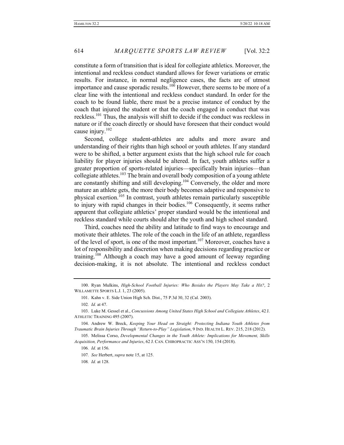constitute a form of transition that is ideal for collegiate athletics. Moreover, the intentional and reckless conduct standard allows for fewer variations or erratic results. For instance, in normal negligence cases, the facts are of utmost importance and cause sporadic results.<sup>100</sup> However, there seems to be more of a clear line with the intentional and reckless conduct standard. In order for the coach to be found liable, there must be a precise instance of conduct by the coach that injured the student or that the coach engaged in conduct that was reckless.<sup>101</sup> Thus, the analysis will shift to decide if the conduct was reckless in nature or if the coach directly or should have foreseen that their conduct would cause injury.<sup>102</sup>

Second, college student-athletes are adults and more aware and understanding of their rights than high school or youth athletes. If any standard were to be shifted, a better argument exists that the high school rule for coach liability for player injuries should be altered. In fact, youth athletes suffer a greater proportion of sports-related injuries—specifically brain injuries—than collegiate athletes.<sup>103</sup> The brain and overall body composition of a young athlete are constantly shifting and still developing.<sup>104</sup> Conversely, the older and more mature an athlete gets, the more their body becomes adaptive and responsive to physical exertion.<sup>105</sup> In contrast, youth athletes remain particularly susceptible to injury with rapid changes in their bodies.106 Consequently, it seems rather apparent that collegiate athletics' proper standard would be the intentional and reckless standard while courts should alter the youth and high school standard.

Third, coaches need the ability and latitude to find ways to encourage and motivate their athletes. The role of the coach in the life of an athlete, regardless of the level of sport, is one of the most important.<sup>107</sup> Moreover, coaches have a lot of responsibility and discretion when making decisions regarding practice or training.<sup>108</sup> Although a coach may have a good amount of leeway regarding decision-making, it is not absolute. The intentional and reckless conduct

<sup>100.</sup> Ryan Mulkins, *High-School Football Injuries: Who Besides the Players May Take a Hit?*, 2 WILLAMETTE SPORTS L.J. 1, 23 (2005).

<sup>101.</sup> Kahn v. E. Side Union High Sch. Dist., 75 P.3d 30, 32 (Cal. 2003).

<sup>102</sup>*. Id.* at 47.

<sup>103.</sup> Luke M. Gessel et al., *Concussions Among United States High School and Collegiate Athletes*, 42 J. ATHLETIC TRAINING 495 (2007).

<sup>104.</sup> Andrew W. Breck, *Keeping Your Head on Straight: Protecting Indiana Youth Athletes from Traumatic Brain Injuries Through "Return-to-Play" Legislation*, 9 IND. HEALTH L. REV. 215, 218 (2012).

<sup>105.</sup> Melissa Corso, *Developmental Changes in the Youth Athlete: Implications for Movement, Skills Acquisition, Performance and Injuries*, 62 J. CAN. CHIROPRACTIC ASS'N 150, 154 (2018).

<sup>106</sup>*. Id.* at 156.

<sup>107</sup>*. See* Herbert, *supra* note 15, at 125.

<sup>108</sup>*. Id.* at 128.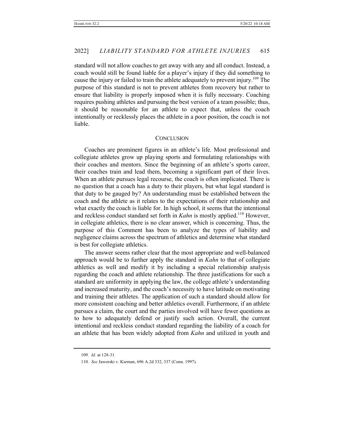standard will not allow coaches to get away with any and all conduct. Instead, a coach would still be found liable for a player's injury if they did something to cause the injury or failed to train the athlete adequately to prevent injury.<sup>109</sup> The purpose of this standard is not to prevent athletes from recovery but rather to ensure that liability is properly imposed when it is fully necessary. Coaching requires pushing athletes and pursuing the best version of a team possible; thus, it should be reasonable for an athlete to expect that, unless the coach intentionally or recklessly places the athlete in a poor position, the coach is not liable.

#### **CONCLUSION**

Coaches are prominent figures in an athlete's life. Most professional and collegiate athletes grow up playing sports and formulating relationships with their coaches and mentors. Since the beginning of an athlete's sports career, their coaches train and lead them, becoming a significant part of their lives. When an athlete pursues legal recourse, the coach is often implicated. There is no question that a coach has a duty to their players, but what legal standard is that duty to be gauged by? An understanding must be established between the coach and the athlete as it relates to the expectations of their relationship and what exactly the coach is liable for. In high school, it seems that the intentional and reckless conduct standard set forth in *Kahn* is mostly applied.<sup>110</sup> However, in collegiate athletics, there is no clear answer, which is concerning. Thus, the purpose of this Comment has been to analyze the types of liability and negligence claims across the spectrum of athletics and determine what standard is best for collegiate athletics.

The answer seems rather clear that the most appropriate and well-balanced approach would be to further apply the standard in *Kahn* to that of collegiate athletics as well and modify it by including a special relationship analysis regarding the coach and athlete relationship. The three justifications for such a standard are uniformity in applying the law, the college athlete's understanding and increased maturity, and the coach's necessity to have latitude on motivating and training their athletes. The application of such a standard should allow for more consistent coaching and better athletics overall. Furthermore, if an athlete pursues a claim, the court and the parties involved will have fewer questions as to how to adequately defend or justify such action. Overall, the current intentional and reckless conduct standard regarding the liability of a coach for an athlete that has been widely adopted from *Kahn* and utilized in youth and

<sup>109</sup>*. Id.* at 128-31.

<sup>110</sup>*. See* Jaworski v. Kiernan, 696 A.2d 332, 337 (Conn. 1997).